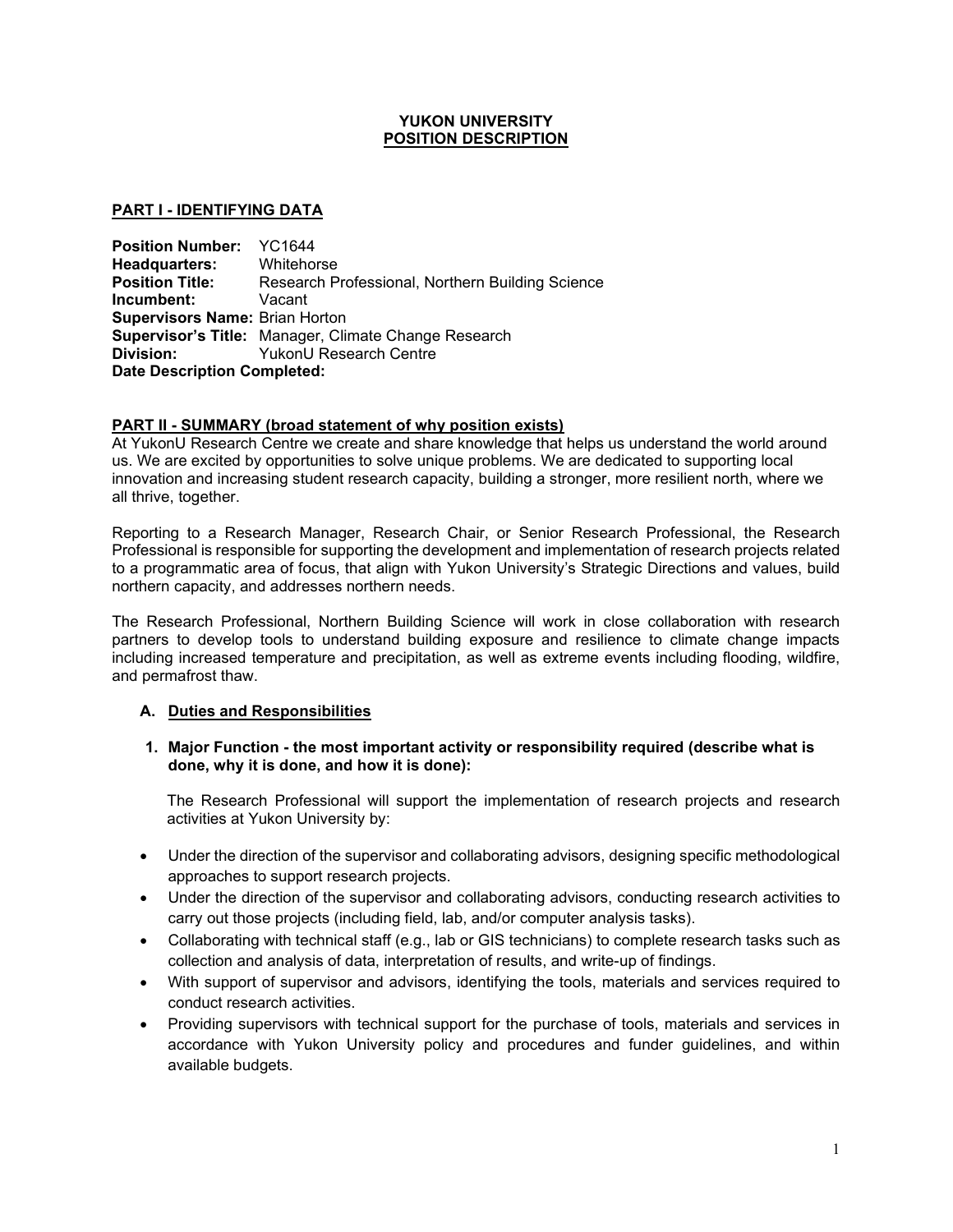## **YUKON UNIVERSITY POSITION DESCRIPTION**

# **PART I - IDENTIFYING DATA**

**Position Number:** YC1644<br>**Headquarters:** Whitehorse **Headquarters:**<br>**Position Title: Position Title:** Research Professional, Northern Building Science **Incumbent:** Vacant **Supervisors Name:** Brian Horton **Supervisor's Title:** Manager, Climate Change Research **Division:** YukonU Research Centre **Date Description Completed:** 

#### **PART II - SUMMARY (broad statement of why position exists)**

At YukonU Research Centre we create and share knowledge that helps us understand the world around us. We are excited by opportunities to solve unique problems. We are dedicated to supporting local innovation and increasing student research capacity, building a stronger, more resilient north, where we all thrive, together.

Reporting to a Research Manager, Research Chair, or Senior Research Professional, the Research Professional is responsible for supporting the development and implementation of research projects related to a programmatic area of focus, that align with Yukon University's Strategic Directions and values, build northern capacity, and addresses northern needs.

The Research Professional, Northern Building Science will work in close collaboration with research partners to develop tools to understand building exposure and resilience to climate change impacts including increased temperature and precipitation, as well as extreme events including flooding, wildfire, and permafrost thaw.

# **A. Duties and Responsibilities**

#### **1. Major Function - the most important activity or responsibility required (describe what is done, why it is done, and how it is done):**

The Research Professional will support the implementation of research projects and research activities at Yukon University by:

- Under the direction of the supervisor and collaborating advisors, designing specific methodological approaches to support research projects.
- Under the direction of the supervisor and collaborating advisors, conducting research activities to carry out those projects (including field, lab, and/or computer analysis tasks).
- Collaborating with technical staff (e.g., lab or GIS technicians) to complete research tasks such as collection and analysis of data, interpretation of results, and write-up of findings.
- With support of supervisor and advisors, identifying the tools, materials and services required to conduct research activities.
- Providing supervisors with technical support for the purchase of tools, materials and services in accordance with Yukon University policy and procedures and funder guidelines, and within available budgets.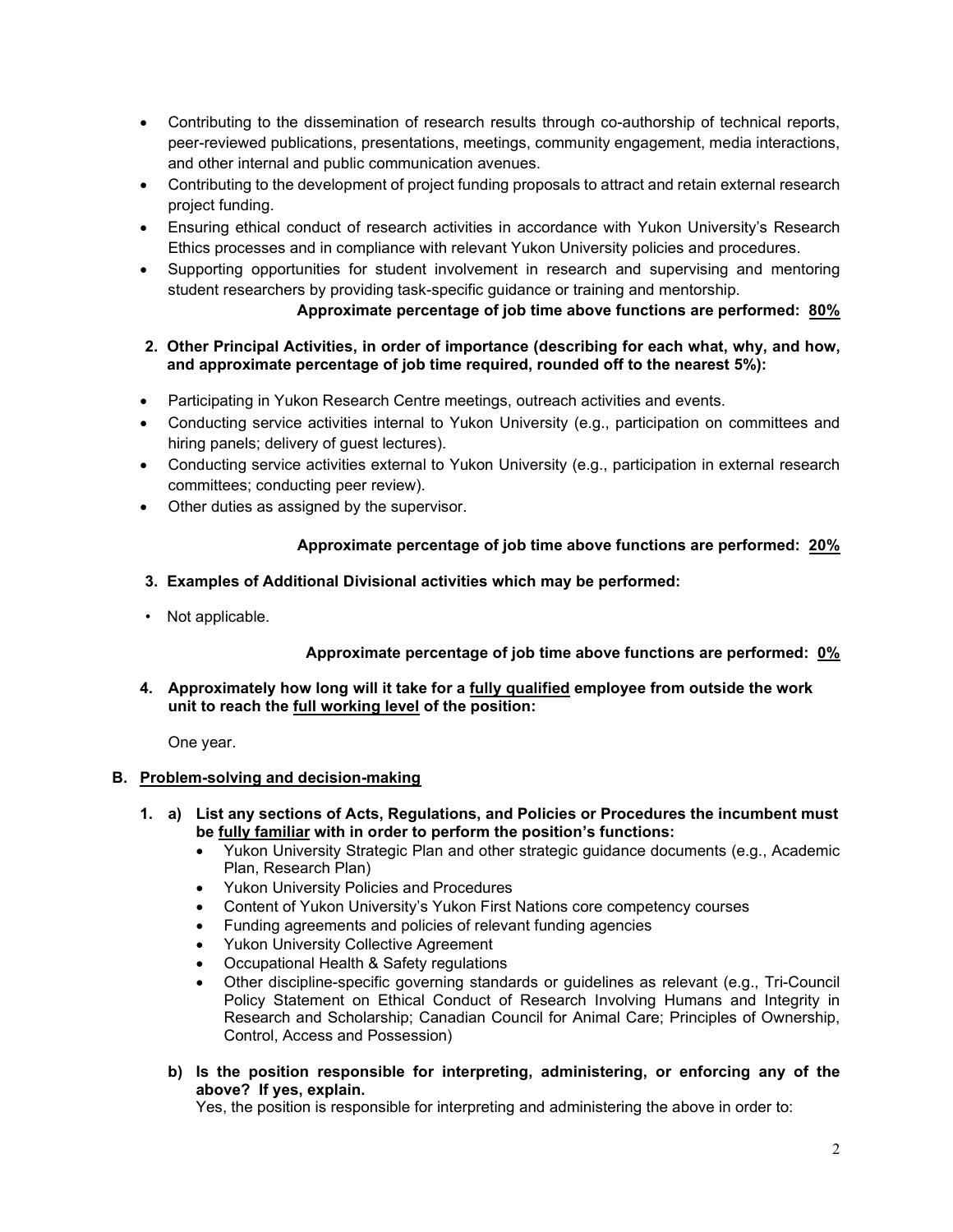- Contributing to the dissemination of research results through co-authorship of technical reports, peer-reviewed publications, presentations, meetings, community engagement, media interactions, and other internal and public communication avenues.
- Contributing to the development of project funding proposals to attract and retain external research project funding.
- Ensuring ethical conduct of research activities in accordance with Yukon University's Research Ethics processes and in compliance with relevant Yukon University policies and procedures.
- Supporting opportunities for student involvement in research and supervising and mentoring student researchers by providing task-specific guidance or training and mentorship.

# **Approximate percentage of job time above functions are performed: 80%**

# **2. Other Principal Activities, in order of importance (describing for each what, why, and how, and approximate percentage of job time required, rounded off to the nearest 5%):**

- Participating in Yukon Research Centre meetings, outreach activities and events.
- Conducting service activities internal to Yukon University (e.g., participation on committees and hiring panels; delivery of guest lectures).
- Conducting service activities external to Yukon University (e.g., participation in external research committees; conducting peer review).
- Other duties as assigned by the supervisor.

# **Approximate percentage of job time above functions are performed: 20%**

- **3. Examples of Additional Divisional activities which may be performed:**
- Not applicable.

# **Approximate percentage of job time above functions are performed: 0%**

**4. Approximately how long will it take for a fully qualified employee from outside the work unit to reach the full working level of the position:**

One year.

# **B. Problem-solving and decision-making**

- **1. a) List any sections of Acts, Regulations, and Policies or Procedures the incumbent must be fully familiar with in order to perform the position's functions:**
	- Yukon University Strategic Plan and other strategic guidance documents (e.g., Academic Plan, Research Plan)
	- Yukon University Policies and Procedures
	- Content of Yukon University's Yukon First Nations core competency courses
	- Funding agreements and policies of relevant funding agencies
	- Yukon University Collective Agreement
	- Occupational Health & Safety regulations
	- Other discipline-specific governing standards or guidelines as relevant (e.g., Tri-Council Policy Statement on Ethical Conduct of Research Involving Humans and Integrity in Research and Scholarship; Canadian Council for Animal Care; Principles of Ownership, Control, Access and Possession)
	- **b) Is the position responsible for interpreting, administering, or enforcing any of the above? If yes, explain.**

Yes, the position is responsible for interpreting and administering the above in order to: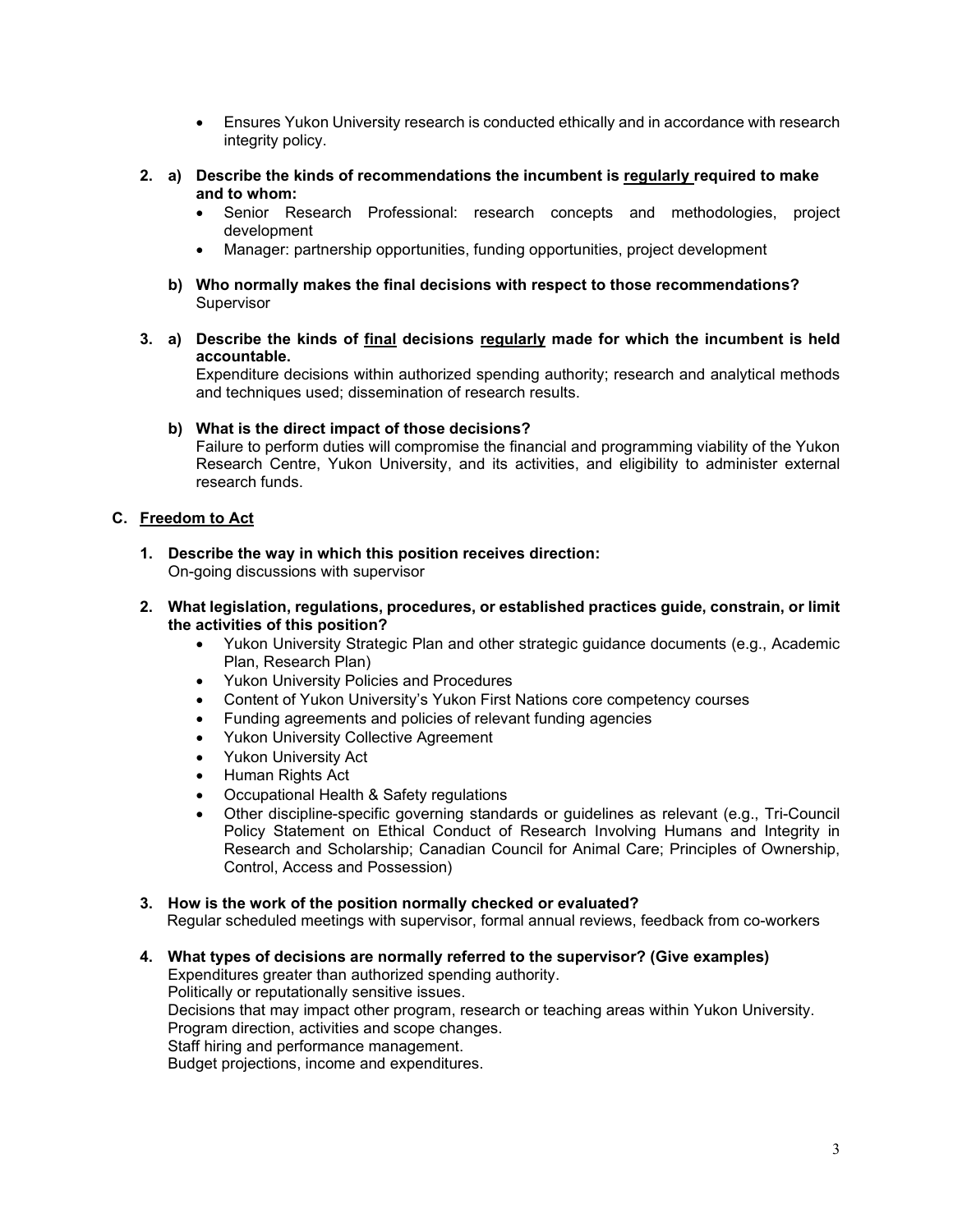- Ensures Yukon University research is conducted ethically and in accordance with research integrity policy.
- **2. a) Describe the kinds of recommendations the incumbent is regularly required to make and to whom:**
	- Senior Research Professional: research concepts and methodologies, project development
	- Manager: partnership opportunities, funding opportunities, project development
	- **b) Who normally makes the final decisions with respect to those recommendations? Supervisor**
- **3. a) Describe the kinds of final decisions regularly made for which the incumbent is held accountable.**

Expenditure decisions within authorized spending authority; research and analytical methods and techniques used; dissemination of research results.

#### **b) What is the direct impact of those decisions?**

Failure to perform duties will compromise the financial and programming viability of the Yukon Research Centre, Yukon University, and its activities, and eligibility to administer external research funds.

# **C. Freedom to Act**

- **1. Describe the way in which this position receives direction:** On-going discussions with supervisor
- **2. What legislation, regulations, procedures, or established practices guide, constrain, or limit the activities of this position?**
	- Yukon University Strategic Plan and other strategic guidance documents (e.g., Academic Plan, Research Plan)
	- Yukon University Policies and Procedures
	- Content of Yukon University's Yukon First Nations core competency courses
	- Funding agreements and policies of relevant funding agencies
	- Yukon University Collective Agreement
	- Yukon University Act
	- Human Rights Act
	- Occupational Health & Safety regulations
	- Other discipline-specific governing standards or guidelines as relevant (e.g., Tri-Council Policy Statement on Ethical Conduct of Research Involving Humans and Integrity in Research and Scholarship; Canadian Council for Animal Care; Principles of Ownership, Control, Access and Possession)

#### **3. How is the work of the position normally checked or evaluated?**

Regular scheduled meetings with supervisor, formal annual reviews, feedback from co-workers

**4. What types of decisions are normally referred to the supervisor? (Give examples)**

Expenditures greater than authorized spending authority.

Politically or reputationally sensitive issues.

Decisions that may impact other program, research or teaching areas within Yukon University. Program direction, activities and scope changes.

Staff hiring and performance management.

Budget projections, income and expenditures.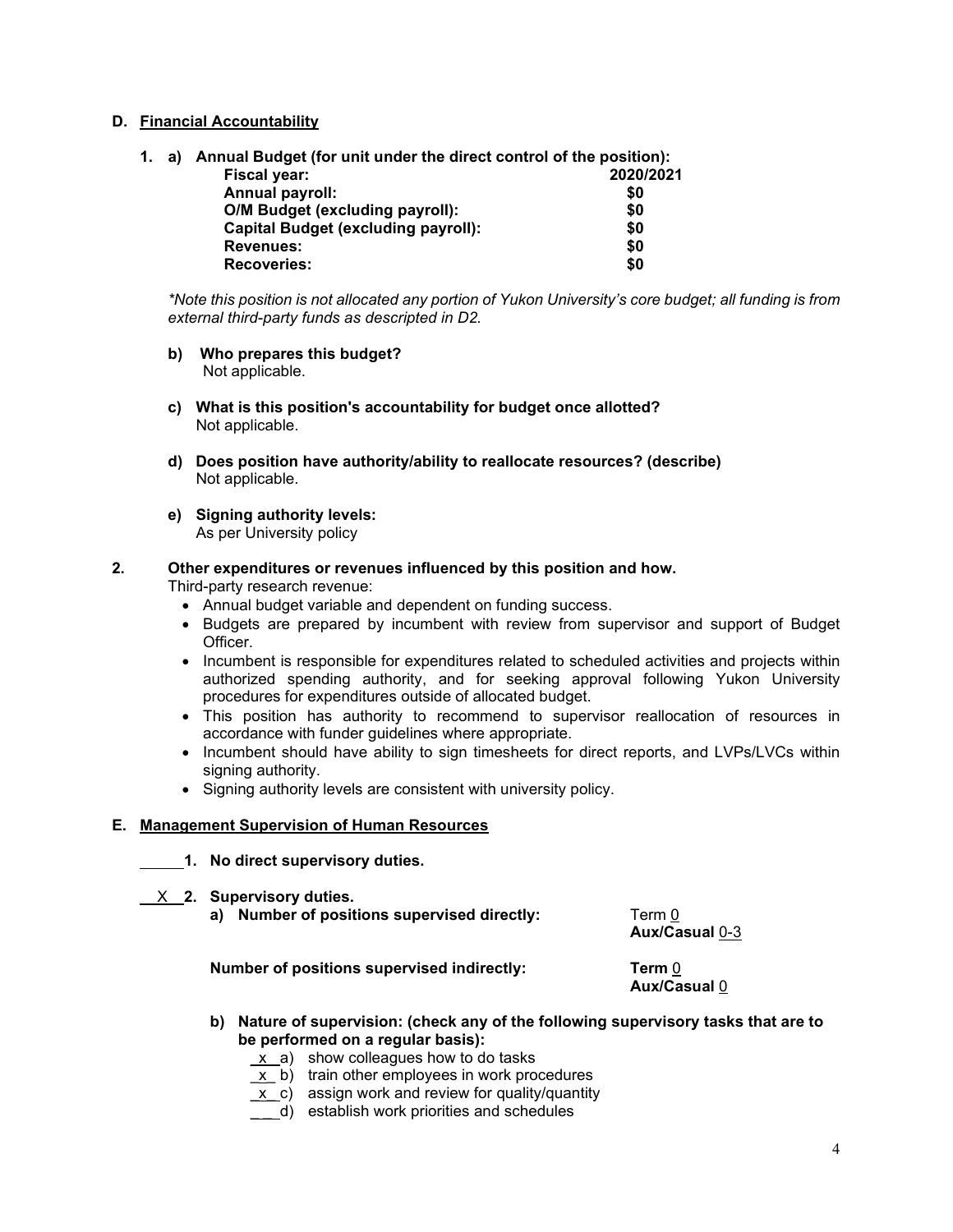# **D. Financial Accountability**

**1. a) Annual Budget (for unit under the direct control of the position): Fiscal year: Annual payroll: \$0 O/M Budget (excluding payroll): \$0 Capital Budget (excluding payroll):** 

**Revenues: \$0** 

 *\*Note this position is not allocated any portion of Yukon University's core budget; all funding is from external third-party funds as descripted in D2.*

**b) Who prepares this budget?** Not applicable.

 $\textsf{Recover}$ **ies:** 

- **c) What is this position's accountability for budget once allotted?** Not applicable.
- **d) Does position have authority/ability to reallocate resources? (describe)** Not applicable.
- **e) Signing authority levels:** As per University policy

#### **2. Other expenditures or revenues influenced by this position and how.**

Third-party research revenue:

- Annual budget variable and dependent on funding success.
- Budgets are prepared by incumbent with review from supervisor and support of Budget Officer.
- Incumbent is responsible for expenditures related to scheduled activities and projects within authorized spending authority, and for seeking approval following Yukon University procedures for expenditures outside of allocated budget.
- This position has authority to recommend to supervisor reallocation of resources in accordance with funder guidelines where appropriate.
- Incumbent should have ability to sign timesheets for direct reports, and LVPs/LVCs within signing authority.
- Signing authority levels are consistent with university policy.

#### **E. Management Supervision of Human Resources**

**1. No direct supervisory duties.**

X **2. Supervisory duties.**

|  | a) Number of positions supervised directly: | Term 0 |
|--|---------------------------------------------|--------|
|--|---------------------------------------------|--------|

 **Aux/Casual** 0-3

**Number of positions supervised indirectly: Term** 0

**Aux/Casual** 0

- **b) Nature of supervision: (check any of the following supervisory tasks that are to be performed on a regular basis):**
	- $\underline{x}$  a) show colleagues how to do tasks
	- $\underline{x}$  b) train other employees in work procedures
	- $\underline{x}$  c) assign work and review for quality/quantity
	- $\overline{d}$  establish work priorities and schedules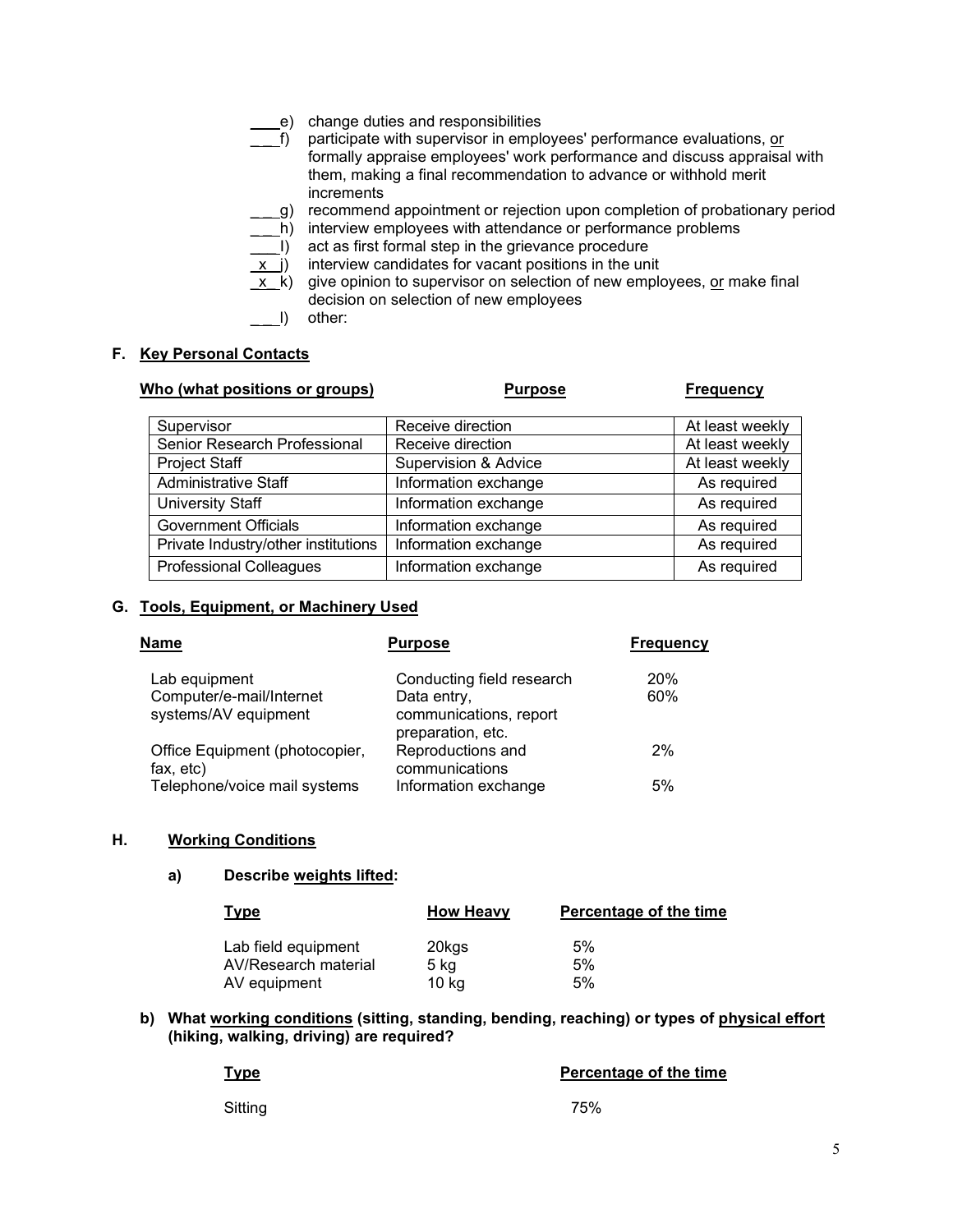- e) change duties and responsibilities
- $\overline{f}$  participate with supervisor in employees' performance evaluations, or formally appraise employees' work performance and discuss appraisal with them, making a final recommendation to advance or withhold merit increments
- g) recommend appointment or rejection upon completion of probationary period
- h) interview employees with attendance or performance problems
- \_\_\_ I) act as first formal step in the grievance procedure
- $(x_i)$  interview candidates for vacant positions in the unit
- $\overline{x}$  k) give opinion to supervisor on selection of new employees, or make final decision on selection of new employees
	- l) other:

#### **F. Key Personal Contacts**

| Who (what positions or groups)      | <b>Purpose</b>       | <b>Frequency</b> |
|-------------------------------------|----------------------|------------------|
| Supervisor                          | Receive direction    | At least weekly  |
| Senior Research Professional        | Receive direction    | At least weekly  |
| Project Staff                       | Supervision & Advice | At least weekly  |
| <b>Administrative Staff</b>         | Information exchange | As required      |
| <b>University Staff</b>             | Information exchange | As required      |
| Government Officials                | Information exchange | As required      |
| Private Industry/other institutions | Information exchange | As required      |
| <b>Professional Colleagues</b>      | Information exchange | As required      |

#### **G. Tools, Equipment, or Machinery Used**

| <b>Name</b>                                      | <b>Purpose</b>                                             | <b>Frequency</b> |
|--------------------------------------------------|------------------------------------------------------------|------------------|
| Lab equipment                                    | Conducting field research                                  | 20%              |
| Computer/e-mail/Internet<br>systems/AV equipment | Data entry,<br>communications, report<br>preparation, etc. | 60%              |
| Office Equipment (photocopier,<br>fax, etc)      | Reproductions and<br>communications                        | 2%               |
| Telephone/voice mail systems                     | Information exchange                                       | 5%               |

#### **H. Working Conditions**

#### **a) Describe weights lifted:**

| <u>Type</u>                          | <b>How Heavy</b> | Percentage of the time |
|--------------------------------------|------------------|------------------------|
| Lab field equipment                  | 20kgs            | 5%                     |
| AV/Research material<br>AV equipment | 5 kg<br>$10$ kg  | 5%<br>5%               |

#### **b) What working conditions (sitting, standing, bending, reaching) or types of physical effort (hiking, walking, driving) are required?**

| <b>Type</b> | Percentage of the time |  |
|-------------|------------------------|--|
| Sitting     | 75%                    |  |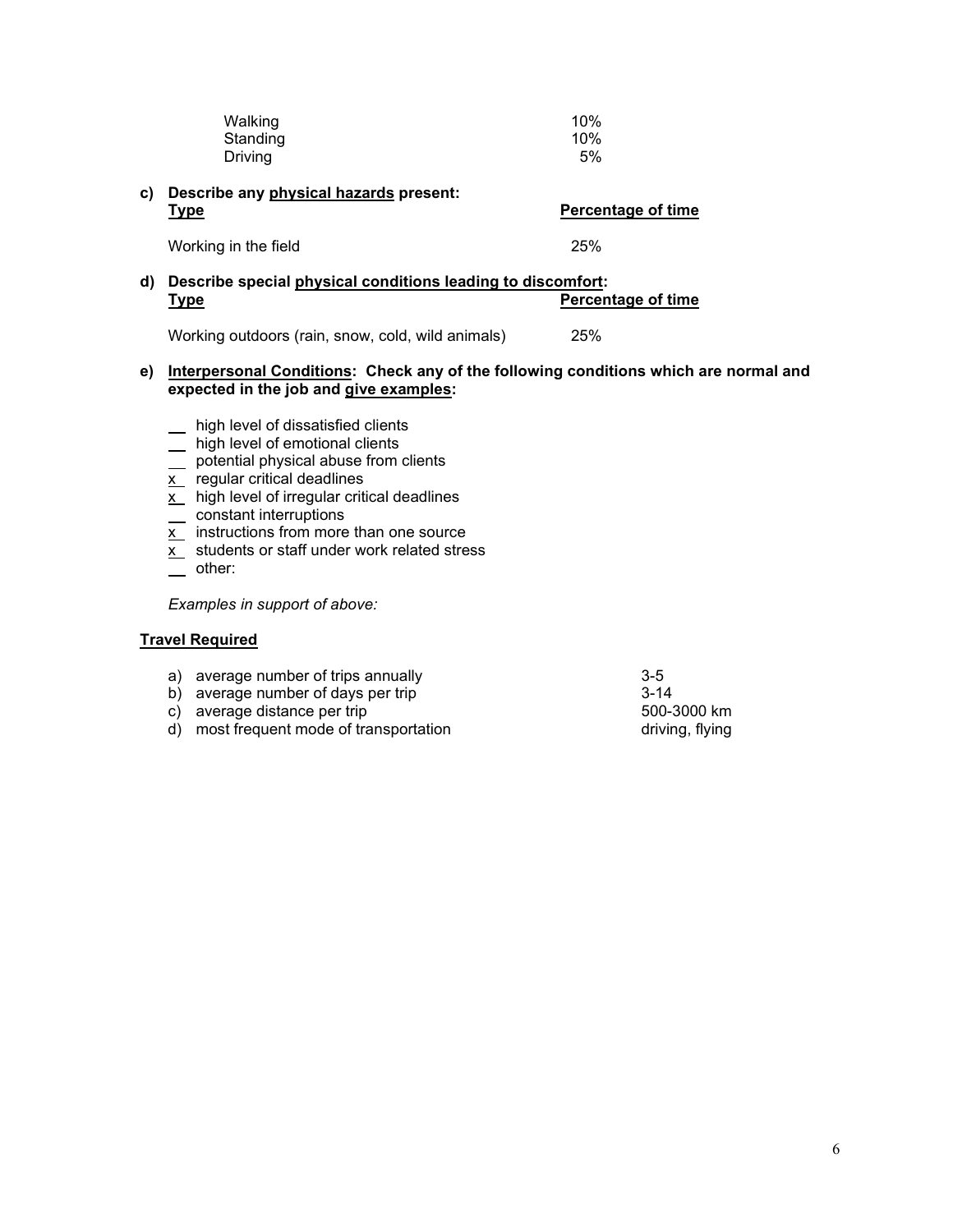| Walking  | 10% |
|----------|-----|
| Standing | 10% |
| Driving  | 5%  |

#### **c) Describe any physical hazards present: Type Percentage of time**

Working in the field 25%

# **d) Describe special physical conditions leading to discomfort: Type Percentage of time**

Working outdoors (rain, snow, cold, wild animals) 25%

### **e) Interpersonal Conditions: Check any of the following conditions which are normal and expected in the job and give examples:**

- \_ high level of dissatisfied clients
- high level of emotional clients
- \_ potential physical abuse from clients
- $\overline{x}$  regular critical deadlines
- $\overline{x}$  high level of irregular critical deadlines
- constant interruptions
- <u>x \_</u> instructions from more than one source
- $\overline{x}$  students or staff under work related stress
- \_\_ other:

*Examples in support of above:* 

# **Travel Required**

- a) average number of trips annually  $3-5$ <br>b) average number of davs per trip  $3-14$
- b) average number of days per trip<br>
c) average distance per trip 3-14<br>
500-3000 km
- 
- c) average distance per trip 500-3000 km<br>
d) most frequent mode of transportation by the set of the driving, flying  $\overrightarrow{d}$  most frequent mode of transportation
-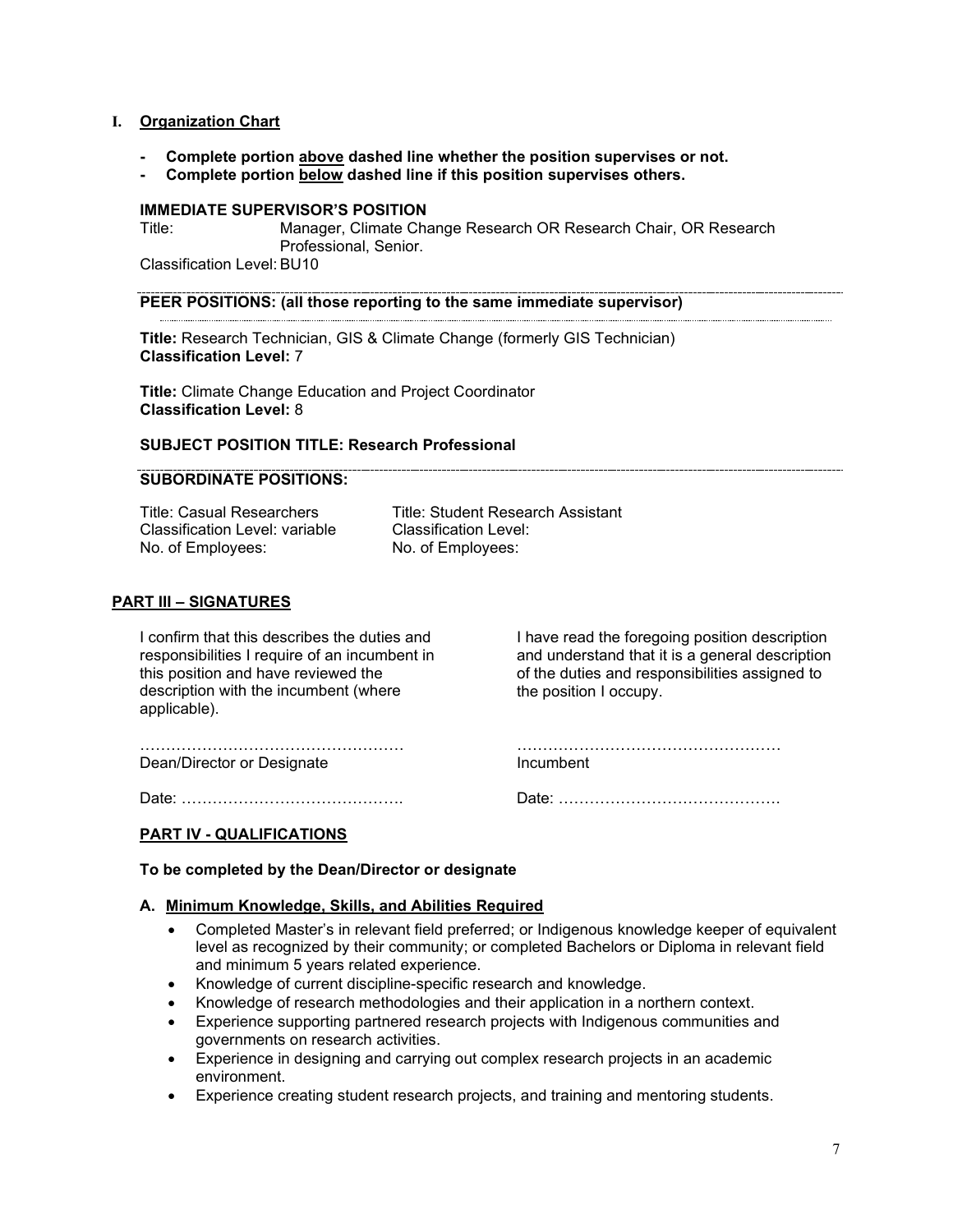#### **I. Organization Chart**

- **Complete portion above dashed line whether the position supervises or not.**
- **Complete portion below dashed line if this position supervises others.**

# **IMMEDIATE SUPERVISOR'S POSITION**

Manager, Climate Change Research OR Research Chair, OR Research Professional, Senior. Classification Level: BU10

#### **PEER POSITIONS: (all those reporting to the same immediate supervisor)**

**Title:** Research Technician, GIS & Climate Change (formerly GIS Technician) **Classification Level:** 7

**Title:** Climate Change Education and Project Coordinator **Classification Level:** 8

# **SUBJECT POSITION TITLE: Research Professional**

#### **SUBORDINATE POSITIONS:**

Classification Level: variable Classification Level:<br>No. of Employees: No. of Employees:

Title: Casual Researchers Title: Student Research Assistant No. of Employees:

#### **PART III – SIGNATURES**

I confirm that this describes the duties and responsibilities I require of an incumbent in this position and have reviewed the description with the incumbent (where applicable).

I have read the foregoing position description and understand that it is a general description of the duties and responsibilities assigned to the position I occupy.

…………………………………………… Dean/Director or Designate

…………………………………………… Incumbent

Date: …………………………………….

Date: …………………………………….

#### **PART IV - QUALIFICATIONS**

**To be completed by the Dean/Director or designate** 

#### **A. Minimum Knowledge, Skills, and Abilities Required**

- Completed Master's in relevant field preferred; or Indigenous knowledge keeper of equivalent level as recognized by their community; or completed Bachelors or Diploma in relevant field and minimum 5 years related experience.
- Knowledge of current discipline-specific research and knowledge.
- Knowledge of research methodologies and their application in a northern context.
- Experience supporting partnered research projects with Indigenous communities and governments on research activities.
- Experience in designing and carrying out complex research projects in an academic environment.
- Experience creating student research projects, and training and mentoring students.